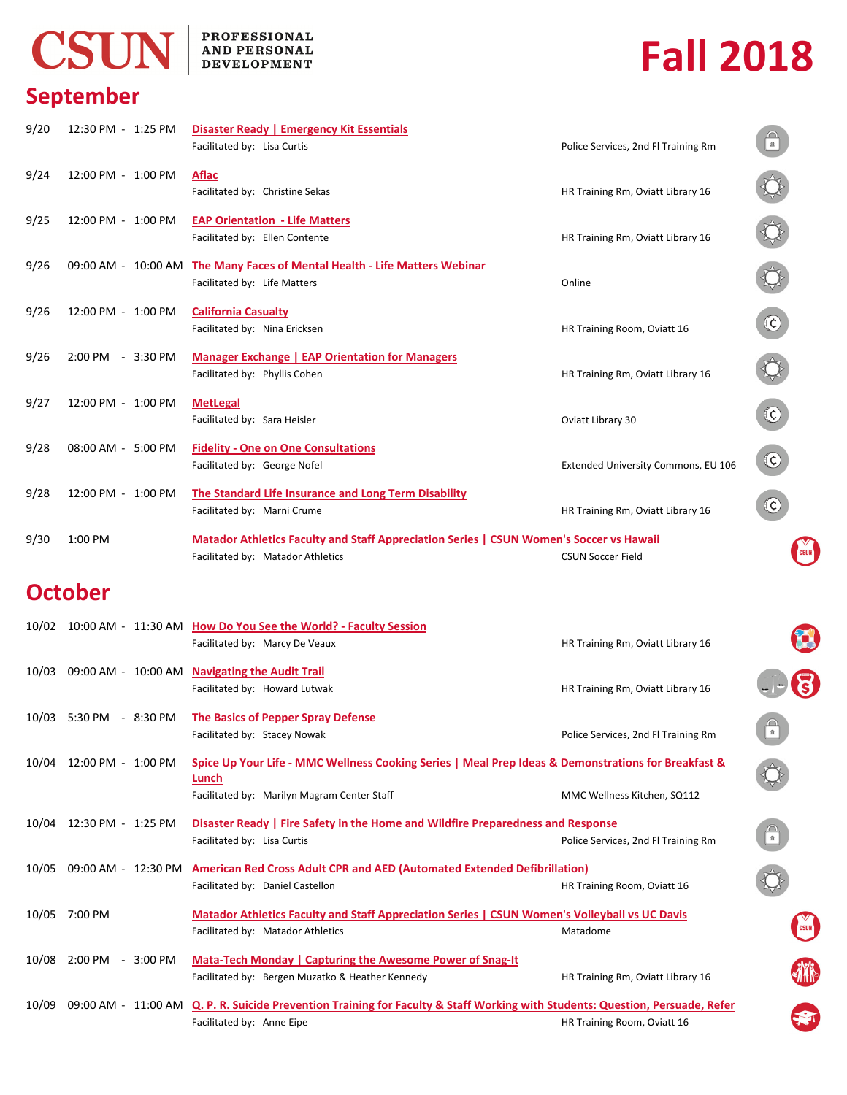# CSUN

#### **PROFESSIONAL** AND PERSONAL **DEVELOPMENT**

# **Fall 2018**

 $\bigoplus$ 

# **September**

| 9/20  | 12:30 PM - 1:25 PM       | Disaster Ready   Emergency Kit Essentials<br>Facilitated by: Lisa Curtis                                                            | Police Services, 2nd Fl Training Rm |                        |  |  |  |
|-------|--------------------------|-------------------------------------------------------------------------------------------------------------------------------------|-------------------------------------|------------------------|--|--|--|
| 9/24  | 12:00 PM - 1:00 PM       | Aflac<br>Facilitated by: Christine Sekas                                                                                            | HR Training Rm, Oviatt Library 16   |                        |  |  |  |
| 9/25  | 12:00 PM - 1:00 PM       | <b>EAP Orientation - Life Matters</b><br>Facilitated by: Ellen Contente                                                             | HR Training Rm, Oviatt Library 16   |                        |  |  |  |
| 9/26  |                          | 09:00 AM - 10:00 AM The Many Faces of Mental Health - Life Matters Webinar<br>Facilitated by: Life Matters                          | Online                              |                        |  |  |  |
| 9/26  | 12:00 PM - 1:00 PM       | <b>California Casualty</b><br>Facilitated by: Nina Ericksen                                                                         | HR Training Room, Oviatt 16         |                        |  |  |  |
| 9/26  | 2:00 PM - 3:30 PM        | <b>Manager Exchange   EAP Orientation for Managers</b><br>Facilitated by: Phyllis Cohen                                             | HR Training Rm, Oviatt Library 16   |                        |  |  |  |
| 9/27  | 12:00 PM - 1:00 PM       | <b>MetLegal</b><br>Facilitated by: Sara Heisler                                                                                     | Oviatt Library 30                   |                        |  |  |  |
| 9/28  | 08:00 AM - 5:00 PM       | <b>Fidelity - One on One Consultations</b><br>Facilitated by: George Nofel                                                          | Extended University Commons, EU 106 | $\odot$                |  |  |  |
| 9/28  | 12:00 PM - 1:00 PM       | The Standard Life Insurance and Long Term Disability<br>Facilitated by: Marni Crume                                                 | HR Training Rm, Oviatt Library 16   |                        |  |  |  |
| 9/30  | 1:00 PM                  |                                                                                                                                     |                                     |                        |  |  |  |
|       |                          | <b>Matador Athletics Faculty and Staff Appreciation Series   CSUN Women's Soccer vs Hawaii</b><br>Facilitated by: Matador Athletics | <b>CSUN Soccer Field</b>            |                        |  |  |  |
|       | <b>October</b>           |                                                                                                                                     |                                     |                        |  |  |  |
|       |                          | 10/02 10:00 AM - 11:30 AM How Do You See the World? - Faculty Session<br>Facilitated by: Marcy De Veaux                             | HR Training Rm, Oviatt Library 16   |                        |  |  |  |
| 10/03 |                          | 09:00 AM - 10:00 AM Navigating the Audit Trail<br>Facilitated by: Howard Lutwak                                                     | HR Training Rm, Oviatt Library 16   |                        |  |  |  |
|       | 10/03 5:30 PM - 8:30 PM  | <b>The Basics of Pepper Spray Defense</b><br>Facilitated by: Stacey Nowak                                                           | Police Services, 2nd Fl Training Rm | $\Box$                 |  |  |  |
|       | 10/04 12:00 PM - 1:00 PM | Spice Up Your Life - MMC Wellness Cooking Series   Meal Prep Ideas & Demonstrations for Breakfast &<br>Lunch                        |                                     |                        |  |  |  |
|       |                          | Facilitated by: Marilyn Magram Center Staff                                                                                         | MMC Wellness Kitchen, SQ112         |                        |  |  |  |
|       | 10/04 12:30 PM - 1:25 PM | <b>Disaster Ready   Fire Safety in the Home and Wildfire Preparedness and Response</b><br>Facilitated by: Lisa Curtis               | Police Services, 2nd Fl Training Rm | $\bigcap_{\mathbb{R}}$ |  |  |  |

10/05 09:00 AM - 12:30 PM **American Red Cross Adult CPR and AED (Automated Extended Defibrillation)** Facilitated by: Daniel Castellon HR Training Room, Oviatt 16 **Matador Athletics Faculty and Staff Appreciation Series | CSUN Women's Volleyball vs UC Davis** Facilitated by: Matador Athletics Matadome and the Matadome Matadome Matadome Matadome Matadome Matadome Matadome and Matadome Matadome and Matadome Matadome and Matadome and Matadome and Matadome and Matadome and Matadome 10/05 7:00 PM Mata-Tech Monday | Capturing the Awesome Power of Snag-It Facilitated by: Bergen Muzatko & Heather Kennedy Hamman HR Training Rm, Oviatt Library 16 10/08 2:00 PM - 3:00 PM

10/09 09:00 AM - 11:00 AM Q. P. R. Suicide Prevention Training for Faculty & Staff Working with Students: Question, Persuade, Refer Facilitated by: Anne Eipe **HR Training Room, Oviatt 16**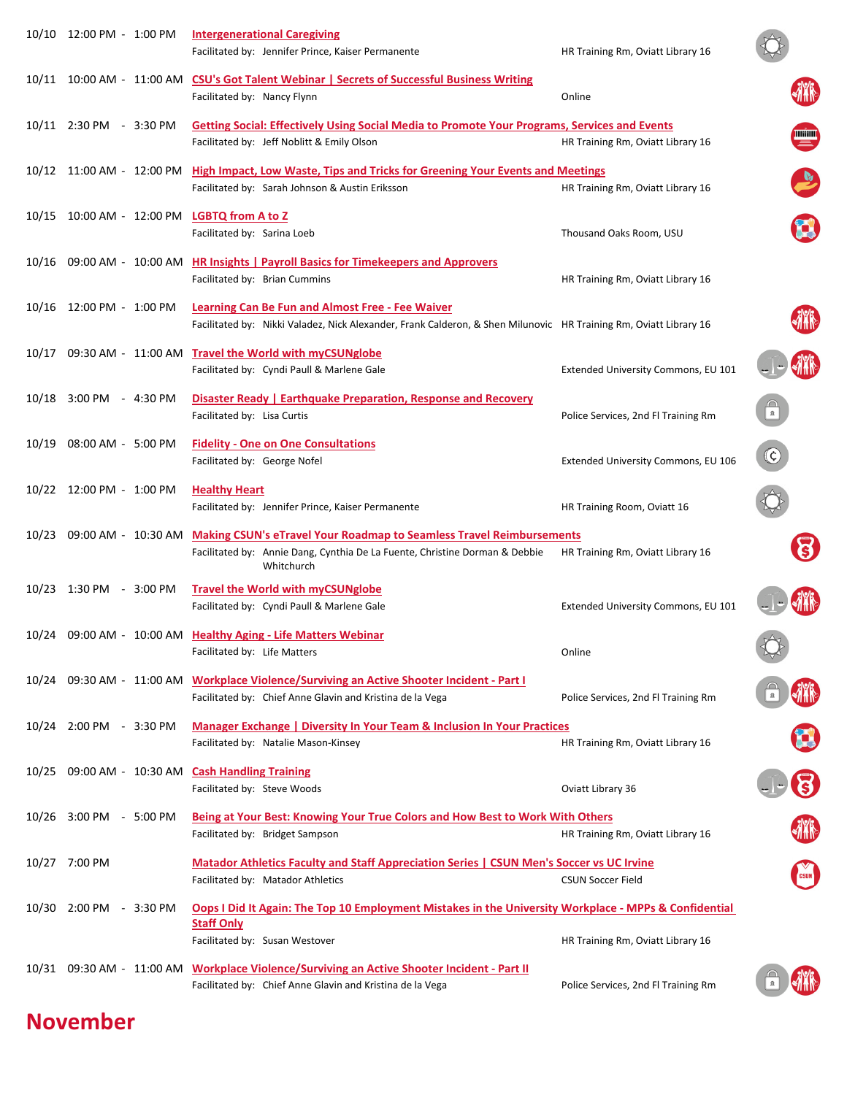|                           | <b>Intergenerational Caregiving</b><br>Facilitated by: Jennifer Prince, Kaiser Permanente                                                                                    | HR Training Rm, Oviatt Library 16   |                    |
|---------------------------|------------------------------------------------------------------------------------------------------------------------------------------------------------------------------|-------------------------------------|--------------------|
|                           | 10/11 10:00 AM - 11:00 AM CSU's Got Talent Webinar   Secrets of Successful Business Writing<br>Facilitated by: Nancy Flynn                                                   | Online                              |                    |
| 10/11 2:30 PM - 3:30 PM   | Getting Social: Effectively Using Social Media to Promote Your Programs, Services and Events<br>Facilitated by: Jeff Noblitt & Emily Olson                                   | HR Training Rm, Oviatt Library 16   | <b>THE SECTION</b> |
| 10/12 11:00 AM - 12:00 PM | <b>High Impact, Low Waste, Tips and Tricks for Greening Your Events and Meetings</b><br>Facilitated by: Sarah Johnson & Austin Eriksson                                      | HR Training Rm, Oviatt Library 16   |                    |
|                           | 10/15 10:00 AM - 12:00 PM LGBTQ from A to Z<br>Facilitated by: Sarina Loeb                                                                                                   | Thousand Oaks Room, USU             |                    |
|                           | 10/16 09:00 AM - 10:00 AM HR Insights   Payroll Basics for Timekeepers and Approvers<br>Facilitated by: Brian Cummins                                                        | HR Training Rm, Oviatt Library 16   |                    |
|                           | <b>Learning Can Be Fun and Almost Free - Fee Waiver</b><br>Facilitated by: Nikki Valadez, Nick Alexander, Frank Calderon, & Shen Milunovic HR Training Rm, Oviatt Library 16 |                                     |                    |
|                           | 10/17 09:30 AM - 11:00 AM Travel the World with myCSUNglobe<br>Facilitated by: Cyndi Paull & Marlene Gale                                                                    | Extended University Commons, EU 101 |                    |
| 10/18 3:00 PM - 4:30 PM   | Disaster Ready   Earthquake Preparation, Response and Recovery<br>Facilitated by: Lisa Curtis                                                                                | Police Services, 2nd Fl Training Rm |                    |
| 10/19 08:00 AM - 5:00 PM  | <b>Fidelity - One on One Consultations</b><br>Facilitated by: George Nofel                                                                                                   | Extended University Commons, EU 106 | $(\mathsf{c})$     |
| 10/22 12:00 PM - 1:00 PM  | <b>Healthy Heart</b><br>Facilitated by: Jennifer Prince, Kaiser Permanente                                                                                                   | HR Training Room, Oviatt 16         |                    |
|                           |                                                                                                                                                                              |                                     |                    |
| 10/23 09:00 AM - 10:30 AM | <b>Making CSUN's eTravel Your Roadmap to Seamless Travel Reimbursements</b><br>Facilitated by: Annie Dang, Cynthia De La Fuente, Christine Dorman & Debbie<br>Whitchurch     | HR Training Rm, Oviatt Library 16   |                    |
| 10/23 1:30 PM - 3:00 PM   | <b>Travel the World with myCSUNglobe</b><br>Facilitated by: Cyndi Paull & Marlene Gale                                                                                       | Extended University Commons, EU 101 |                    |
|                           | 10/24 09:00 AM - 10:00 AM Healthy Aging - Life Matters Webinar<br>Facilitated by: Life Matters                                                                               | Online                              |                    |
|                           | 10/24 09:30 AM - 11:00 AM Workplace Violence/Surviving an Active Shooter Incident - Part I<br>Facilitated by: Chief Anne Glavin and Kristina de la Vega                      | Police Services, 2nd Fl Training Rm |                    |
| 10/24 2:00 PM - 3:30 PM   | Manager Exchange   Diversity In Your Team & Inclusion In Your Practices<br>Facilitated by: Natalie Mason-Kinsey                                                              | HR Training Rm, Oviatt Library 16   |                    |
|                           | 10/25 09:00 AM - 10:30 AM Cash Handling Training<br>Facilitated by: Steve Woods                                                                                              | Oviatt Library 36                   |                    |
| 10/26 3:00 PM - 5:00 PM   | Being at Your Best: Knowing Your True Colors and How Best to Work With Others<br>Facilitated by: Bridget Sampson                                                             | HR Training Rm, Oviatt Library 16   |                    |
| 10/27 7:00 PM             | <b>Matador Athletics Faculty and Staff Appreciation Series   CSUN Men's Soccer vs UC Irvine</b><br>Facilitated by: Matador Athletics                                         | <b>CSUN Soccer Field</b>            |                    |
| 10/30 2:00 PM - 3:30 PM   | Oops I Did It Again: The Top 10 Employment Mistakes in the University Workplace - MPPs & Confidential<br><b>Staff Only</b>                                                   |                                     |                    |
|                           | Facilitated by: Susan Westover<br>10/31 09:30 AM - 11:00 AM Workplace Violence/Surviving an Active Shooter Incident - Part II                                                | HR Training Rm, Oviatt Library 16   |                    |

## **November**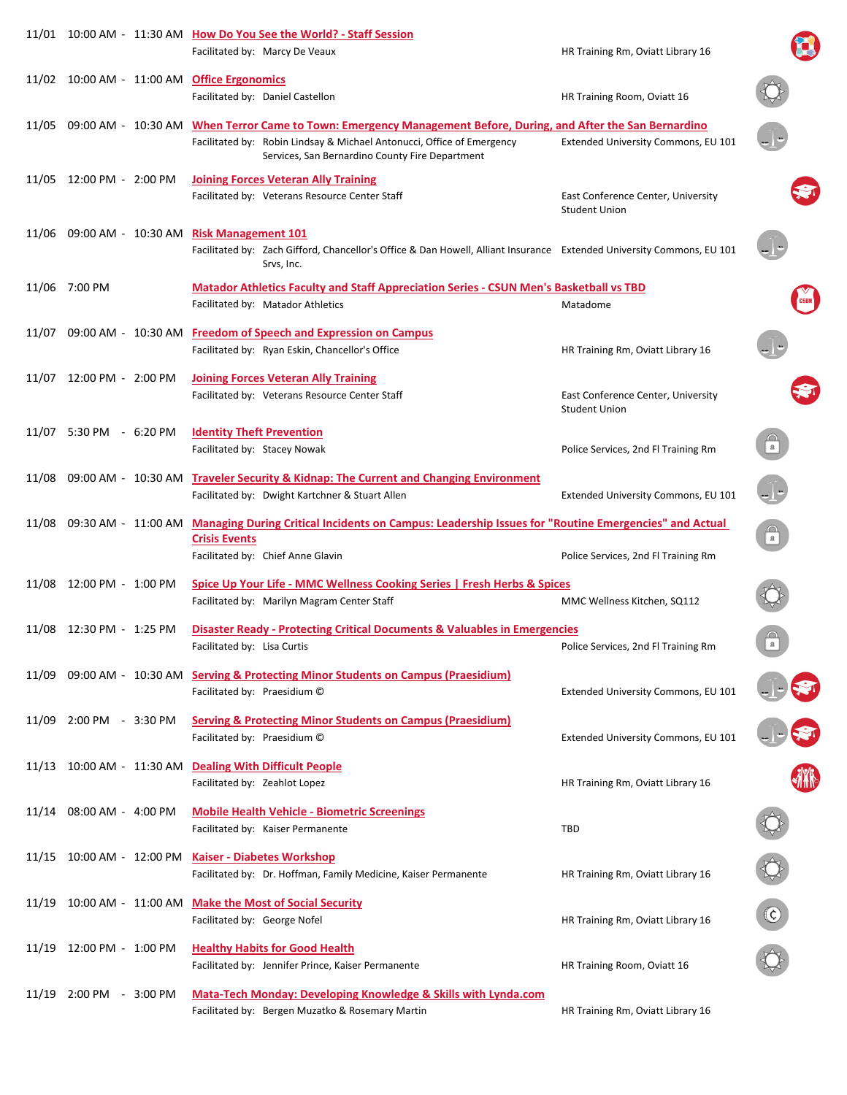|                                  | 11/01  10:00 AM - 11:30 AM  How Do You See the World? - Staff Session<br>Facilitated by: Marcy De Veaux                                                                                                                  | HR Training Rm, Oviatt Library 16                          |                          |
|----------------------------------|--------------------------------------------------------------------------------------------------------------------------------------------------------------------------------------------------------------------------|------------------------------------------------------------|--------------------------|
| 11/02  10:00 AM - 11:00 AM       | <b>Office Ergonomics</b><br>Facilitated by: Daniel Castellon                                                                                                                                                             | HR Training Room, Oviatt 16                                |                          |
| 11/05  09:00 AM - 10:30 AM       | When Terror Came to Town: Emergency Management Before, During, and After the San Bernardino<br>Facilitated by: Robin Lindsay & Michael Antonucci, Office of Emergency<br>Services, San Bernardino County Fire Department | Extended University Commons, EU 101                        |                          |
| 11/05 12:00 PM - 2:00 PM         | <b>Joining Forces Veteran Ally Training</b><br>Facilitated by: Veterans Resource Center Staff                                                                                                                            | East Conference Center, University<br><b>Student Union</b> |                          |
| 11/06 09:00 AM - 10:30 AM        | <b>Risk Management 101</b><br>Facilitated by: Zach Gifford, Chancellor's Office & Dan Howell, Alliant Insurance Extended University Commons, EU 101<br>Srvs, Inc.                                                        |                                                            |                          |
| 11/06 7:00 PM                    | <b>Matador Athletics Faculty and Staff Appreciation Series - CSUN Men's Basketball vs TBD</b><br>Facilitated by: Matador Athletics                                                                                       | Matadome                                                   |                          |
|                                  | 11/07 09:00 AM - 10:30 AM Freedom of Speech and Expression on Campus<br>Facilitated by: Ryan Eskin, Chancellor's Office                                                                                                  | HR Training Rm, Oviatt Library 16                          |                          |
| 11/07 12:00 PM - 2:00 PM         | <b>Joining Forces Veteran Ally Training</b><br>Facilitated by: Veterans Resource Center Staff                                                                                                                            | East Conference Center, University<br><b>Student Union</b> |                          |
| 11/07 5:30 PM - 6:20 PM          | <b>Identity Theft Prevention</b><br>Facilitated by: Stacey Nowak                                                                                                                                                         | Police Services, 2nd Fl Training Rm                        | $\bigcap_{\mathbf{a}}$   |
| 11/08 09:00 AM - 10:30 AM        | <b>Traveler Security &amp; Kidnap: The Current and Changing Environment</b><br>Facilitated by: Dwight Kartchner & Stuart Allen                                                                                           | Extended University Commons, EU 101                        |                          |
| 11/08    09:30 AM -   11:00 AM - | Managing During Critical Incidents on Campus: Leadership Issues for "Routine Emergencies" and Actual<br><b>Crisis Events</b><br>Facilitated by: Chief Anne Glavin                                                        | Police Services, 2nd Fl Training Rm                        | $\bigcap_{n=1}^{\infty}$ |
| 11/08 12:00 PM - 1:00 PM         | <b>Spice Up Your Life - MMC Wellness Cooking Series   Fresh Herbs &amp; Spices</b><br>Facilitated by: Marilyn Magram Center Staff                                                                                        | MMC Wellness Kitchen, SQ112                                |                          |
| 11/08 12:30 PM - 1:25 PM         | <b>Disaster Ready - Protecting Critical Documents &amp; Valuables in Emergencies</b><br>Facilitated by: Lisa Curtis                                                                                                      | Police Services, 2nd Fl Training Rm                        | $\bigcap_{\mathbf{a}}$   |
|                                  | 11/09 09:00 AM - 10:30 AM Serving & Protecting Minor Students on Campus (Praesidium)<br>Facilitated by: Praesidium C                                                                                                     | Extended University Commons, EU 101                        |                          |
| 11/09 2:00 PM - 3:30 PM          | <b>Serving &amp; Protecting Minor Students on Campus (Praesidium)</b><br>Facilitated by: Praesidium ©                                                                                                                    | Extended University Commons, EU 101                        |                          |
| 11/13  10:00 AM - 11:30 AM       | <b>Dealing With Difficult People</b><br>Facilitated by: Zeahlot Lopez                                                                                                                                                    | HR Training Rm, Oviatt Library 16                          |                          |
| 11/14 08:00 AM - 4:00 PM         | <b>Mobile Health Vehicle - Biometric Screenings</b><br>Facilitated by: Kaiser Permanente                                                                                                                                 | <b>TBD</b>                                                 |                          |
|                                  | 11/15 10:00 AM - 12:00 PM Kaiser - Diabetes Workshop<br>Facilitated by: Dr. Hoffman, Family Medicine, Kaiser Permanente                                                                                                  | HR Training Rm, Oviatt Library 16                          | ♦                        |
| 11/19 10:00 AM - 11:00 AM        | <b>Make the Most of Social Security</b><br>Facilitated by: George Nofel                                                                                                                                                  | HR Training Rm, Oviatt Library 16                          | $\bigodot$               |
| 11/19 12:00 PM - 1:00 PM         | <b>Healthy Habits for Good Health</b><br>Facilitated by: Jennifer Prince, Kaiser Permanente                                                                                                                              | HR Training Room, Oviatt 16                                |                          |
| 11/19 2:00 PM - 3:00 PM          | <b>Mata-Tech Monday: Developing Knowledge &amp; Skills with Lynda.com</b><br>Facilitated by: Bergen Muzatko & Rosemary Martin                                                                                            | HR Training Rm, Oviatt Library 16                          |                          |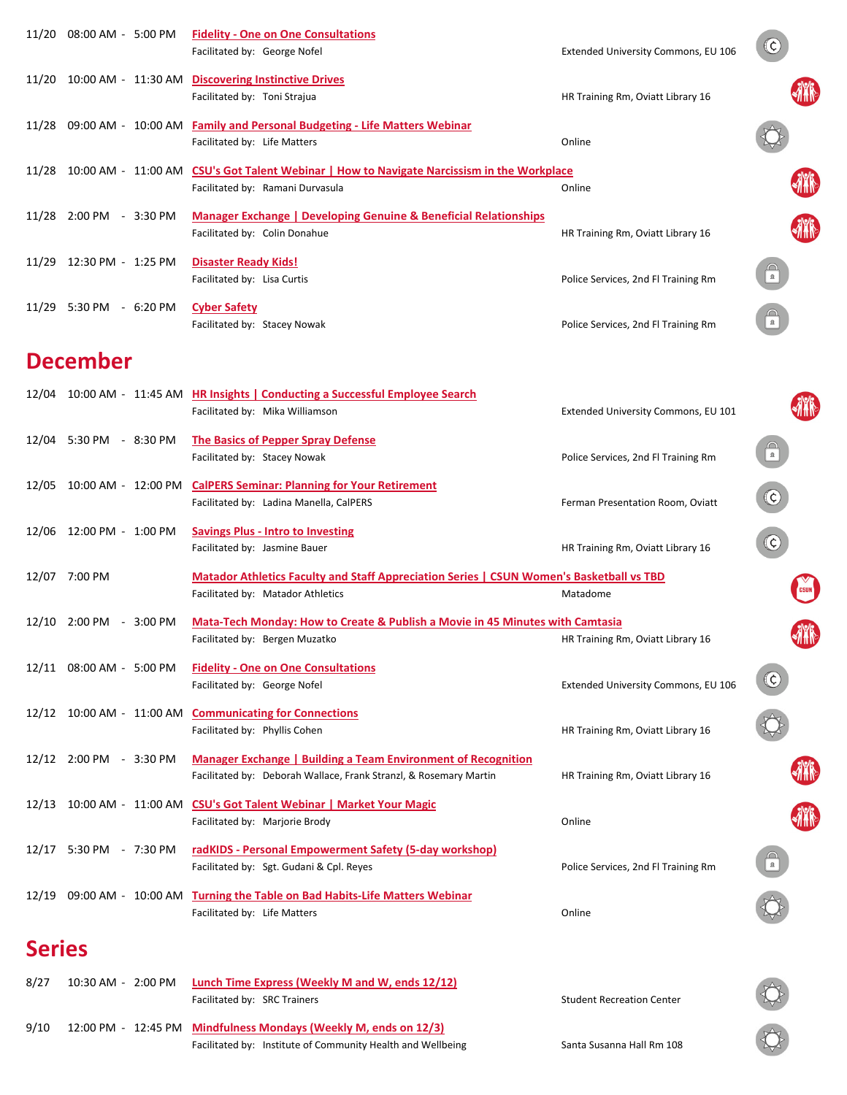|               | 11/20 08:00 AM - 5:00 PM  | <b>Fidelity - One on One Consultations</b><br>Facilitated by: George Nofel                                                                | Extended University Commons, EU 106 | (¢)                                                                                                                                                                                                                                                                                                                                                 |  |
|---------------|---------------------------|-------------------------------------------------------------------------------------------------------------------------------------------|-------------------------------------|-----------------------------------------------------------------------------------------------------------------------------------------------------------------------------------------------------------------------------------------------------------------------------------------------------------------------------------------------------|--|
|               |                           | 11/20 10:00 AM - 11:30 AM Discovering Instinctive Drives<br>Facilitated by: Toni Strajua                                                  | HR Training Rm, Oviatt Library 16   |                                                                                                                                                                                                                                                                                                                                                     |  |
|               |                           | 11/28 09:00 AM - 10:00 AM Family and Personal Budgeting - Life Matters Webinar<br>Facilitated by: Life Matters                            | Online                              |                                                                                                                                                                                                                                                                                                                                                     |  |
|               | 11/28 10:00 AM - 11:00 AM | <b>CSU's Got Talent Webinar   How to Navigate Narcissism in the Workplace</b><br>Facilitated by: Ramani Durvasula                         | Online                              |                                                                                                                                                                                                                                                                                                                                                     |  |
|               | 11/28 2:00 PM - 3:30 PM   | <b>Manager Exchange   Developing Genuine &amp; Beneficial Relationships</b><br>Facilitated by: Colin Donahue                              | HR Training Rm, Oviatt Library 16   |                                                                                                                                                                                                                                                                                                                                                     |  |
|               | 11/29 12:30 PM - 1:25 PM  | <b>Disaster Ready Kids!</b><br>Facilitated by: Lisa Curtis                                                                                | Police Services, 2nd Fl Training Rm | $\bigcap_{n=1}^{\infty}$                                                                                                                                                                                                                                                                                                                            |  |
|               | 11/29 5:30 PM - 6:20 PM   | <b>Cyber Safety</b><br>Facilitated by: Stacey Nowak                                                                                       | Police Services, 2nd Fl Training Rm |                                                                                                                                                                                                                                                                                                                                                     |  |
|               | <b>December</b>           |                                                                                                                                           |                                     |                                                                                                                                                                                                                                                                                                                                                     |  |
|               |                           | 12/04 10:00 AM - 11:45 AM HR Insights   Conducting a Successful Employee Search<br>Facilitated by: Mika Williamson                        | Extended University Commons, EU 101 |                                                                                                                                                                                                                                                                                                                                                     |  |
|               | 12/04 5:30 PM - 8:30 PM   | <b>The Basics of Pepper Spray Defense</b><br>Facilitated by: Stacey Nowak                                                                 | Police Services, 2nd Fl Training Rm | $\bigcap_{\mathbf{a}}$                                                                                                                                                                                                                                                                                                                              |  |
|               | 12/05 10:00 AM - 12:00 PM | <b>CalPERS Seminar: Planning for Your Retirement</b><br>Facilitated by: Ladina Manella, CalPERS                                           | Ferman Presentation Room, Oviatt    | $\bigodot$                                                                                                                                                                                                                                                                                                                                          |  |
|               | 12/06 12:00 PM - 1:00 PM  | <b>Savings Plus - Intro to Investing</b><br>Facilitated by: Jasmine Bauer                                                                 | HR Training Rm, Oviatt Library 16   | $\odot$                                                                                                                                                                                                                                                                                                                                             |  |
|               | 12/07 7:00 PM             | Matador Athletics Faculty and Staff Appreciation Series   CSUN Women's Basketball vs TBD<br>Facilitated by: Matador Athletics             | Matadome                            |                                                                                                                                                                                                                                                                                                                                                     |  |
|               | 12/10 2:00 PM - 3:00 PM   | Mata-Tech Monday: How to Create & Publish a Movie in 45 Minutes with Camtasia<br>Facilitated by: Bergen Muzatko                           | HR Training Rm, Oviatt Library 16   |                                                                                                                                                                                                                                                                                                                                                     |  |
|               | 12/11 08:00 AM - 5:00 PM  | <b>Fidelity - One on One Consultations</b><br>Facilitated by: George Nofel                                                                | Extended University Commons, EU 106 | $\rm (c)$                                                                                                                                                                                                                                                                                                                                           |  |
|               |                           | 12/12 10:00 AM - 11:00 AM Communicating for Connections<br>Facilitated by: Phyllis Cohen                                                  | HR Training Rm, Oviatt Library 16   |                                                                                                                                                                                                                                                                                                                                                     |  |
|               | 12/12 2:00 PM - 3:30 PM   | <b>Manager Exchange   Building a Team Environment of Recognition</b><br>Facilitated by: Deborah Wallace, Frank Stranzl, & Rosemary Martin | HR Training Rm, Oviatt Library 16   |                                                                                                                                                                                                                                                                                                                                                     |  |
|               |                           | 12/13 10:00 AM - 11:00 AM CSU's Got Talent Webinar   Market Your Magic<br>Facilitated by: Marjorie Brody                                  | Online                              |                                                                                                                                                                                                                                                                                                                                                     |  |
|               | 12/17 5:30 PM - 7:30 PM   | radKIDS - Personal Empowerment Safety (5-day workshop)<br>Facilitated by: Sgt. Gudani & Cpl. Reyes                                        | Police Services, 2nd Fl Training Rm | $\begin{picture}(45,10) \put(0,0){\line(1,0){10}} \put(15,0){\line(1,0){10}} \put(15,0){\line(1,0){10}} \put(15,0){\line(1,0){10}} \put(15,0){\line(1,0){10}} \put(15,0){\line(1,0){10}} \put(15,0){\line(1,0){10}} \put(15,0){\line(1,0){10}} \put(15,0){\line(1,0){10}} \put(15,0){\line(1,0){10}} \put(15,0){\line(1,0){10}} \put(15,0){\line(1$ |  |
|               |                           | 12/19 09:00 AM - 10:00 AM Turning the Table on Bad Habits-Life Matters Webinar<br>Facilitated by: Life Matters                            | Online                              |                                                                                                                                                                                                                                                                                                                                                     |  |
| <b>Series</b> |                           |                                                                                                                                           |                                     |                                                                                                                                                                                                                                                                                                                                                     |  |
| 8/27          | 10:30 AM - 2:00 PM        | <b>Lunch Time Express (Weekly M and W, ends 12/12)</b><br>Facilitated by: SRC Trainers                                                    | <b>Student Recreation Center</b>    |                                                                                                                                                                                                                                                                                                                                                     |  |

12:00 PM **Mindfulness Mondays (Weekly M, ends on 12/3)** 9/10 ‐ 12:45 PMFacilitated by: Institute of Community Health and Wellbeing Santa Susanna Hall Rm 108

 $\bigcirc$